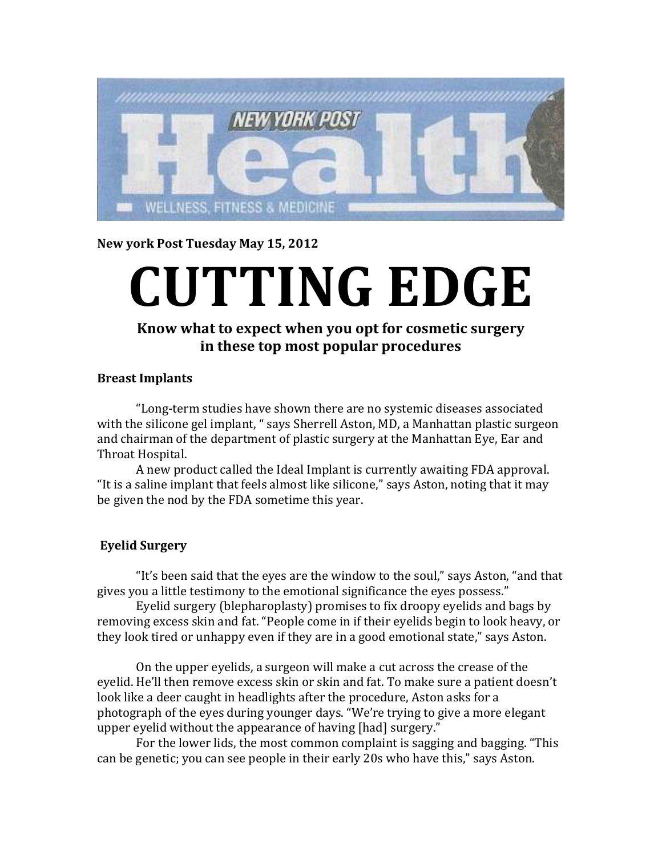

**New york Post Tuesday May 15, 2012** 

## **CUTTING EDGE**

## **Know what to expect when you opt for cosmetic surgery in these top most popular procedures**

## **Breast Implants**

"Long-term studies have shown there are no systemic diseases associated with the silicone gel implant, " says Sherrell Aston, MD, a Manhattan plastic surgeon and chairman of the department of plastic surgery at the Manhattan Eye, Ear and Throat Hospital.

A new product called the Ideal Implant is currently awaiting FDA approval. "It is a saline implant that feels almost like silicone," says Aston, noting that it may be given the nod by the FDA sometime this year.

## **Eyelid Surgery**

 "It's been said that the eyes are the window to the soul," says Aston, "and that gives you a little testimony to the emotional significance the eyes possess."

 Eyelid surgery (blepharoplasty) promises to fix droopy eyelids and bags by removing excess skin and fat. "People come in if their eyelids begin to look heavy, or they look tired or unhappy even if they are in a good emotional state," says Aston.

 On the upper eyelids, a surgeon will make a cut across the crease of the eyelid. He'll then remove excess skin or skin and fat. To make sure a patient doesn't look like a deer caught in headlights after the procedure, Aston asks for a photograph of the eyes during younger days. "We're trying to give a more elegant upper eyelid without the appearance of having [had] surgery."

 For the lower lids, the most common complaint is sagging and bagging. "This can be genetic; you can see people in their early 20s who have this," says Aston.